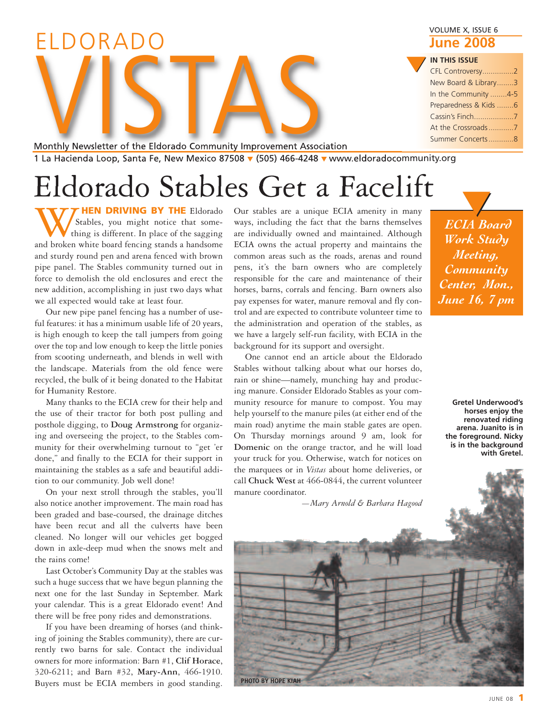| VOLUME X, ISSUE 6<br><b>June 2008</b> |
|---------------------------------------|
| <b>IN THIS ISSUE</b>                  |
| CFL Controversy2                      |
| New Board & Library3                  |
| In the Community 4-5                  |
| Preparedness & Kids 6                 |
|                                       |
|                                       |
| Summer Concerts8                      |

Monthly Newsletter of the Eldorado Community Improvement Association 1 La Hacienda Loop, Santa Fe, New Mexico 87508 **▼** (505) 466-4248 **▼** www.eldoradocommunity.org Monthly Newsletter of the Eldorado Community Improvement Associ

# Eldorado Stables Get a Facelift

**WAGE STAND DRIVING BY THE** Eldorado Stables, you might notice that some-<br>thing is different. In place of the sagging<br>and broken white board fencing stands a handsome Stables, you might notice that something is different. In place of the sagging and sturdy round pen and arena fenced with brown pipe panel. The Stables community turned out in force to demolish the old enclosures and erect the new addition, accomplishing in just two days what we all expected would take at least four.

ELDORADO

Our new pipe panel fencing has a number of useful features: it has a minimum usable life of 20 years, is high enough to keep the tall jumpers from going over the top and low enough to keep the little ponies from scooting underneath, and blends in well with the landscape. Materials from the old fence were recycled, the bulk of it being donated to the Habitat for Humanity Restore.

Many thanks to the ECIA crew for their help and the use of their tractor for both post pulling and posthole digging, to **Doug Armstrong** for organizing and overseeing the project, to the Stables community for their overwhelming turnout to "get 'er done," and finally to the ECIA for their support in maintaining the stables as a safe and beautiful addition to our community. Job well done!

On your next stroll through the stables, you'll also notice another improvement. The main road has been graded and base-coursed, the drainage ditches have been recut and all the culverts have been cleaned. No longer will our vehicles get bogged down in axle-deep mud when the snows melt and the rains come!

Last October's Community Day at the stables was such a huge success that we have begun planning the next one for the last Sunday in September. Mark your calendar. This is a great Eldorado event! And there will be free pony rides and demonstrations.

If you have been dreaming of horses (and thinking of joining the Stables community), there are currently two barns for sale. Contact the individual owners for more information: Barn #1, **Clif Horace**, 320-6211; and Barn #32, **Mary-Ann**, 466-1910. Buyers must be ECIA members in good standing.

Our stables are a unique ECIA amenity in many ways, including the fact that the barns themselves are individually owned and maintained. Although ECIA owns the actual property and maintains the common areas such as the roads, arenas and round pens, it's the barn owners who are completely responsible for the care and maintenance of their horses, barns, corrals and fencing. Barn owners also pay expenses for water, manure removal and fly control and are expected to contribute volunteer time to the administration and operation of the stables, as we have a largely self-run facility, with ECIA in the background for its support and oversight.

One cannot end an article about the Eldorado Stables without talking about what our horses do, rain or shine—namely, munching hay and producing manure. Consider Eldorado Stables as your community resource for manure to compost. You may help yourself to the manure piles (at either end of the main road) anytime the main stable gates are open. On Thursday mornings around 9 am, look for **Domenic** on the orange tractor, and he will load your truck for you. Otherwise, watch for notices on the marquees or in *Vistas* about home deliveries, or call **Chuck West** at 466-0844, the current volunteer manure coordinator.

*—Mary Arnold & Barbara Hagood*

*ECIA Board Work Study Meeting, Community Center, Mon., June 16, 7 pm* **▼**

**Gretel Underwood's horses enjoy the renovated riding arena. Juanito is in the foreground. Nicky is in the background with Gretel.**

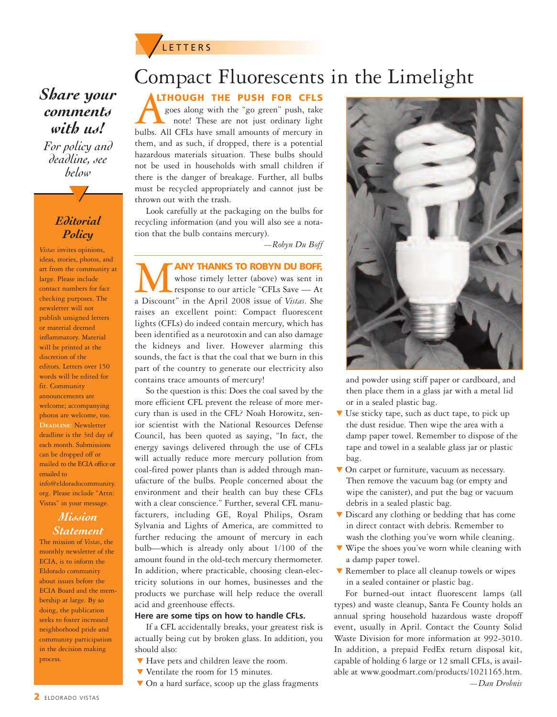### **▼**<sup>L</sup> <sup>E</sup> <sup>T</sup> <sup>T</sup> <sup>E</sup> <sup>R</sup> <sup>S</sup>

### *Share your comments with us!*

*For policy and deadline, see below*

**▼**

#### *Editorial Policy*

*Vistas* invites opinions, ideas, stories, photos, and art from the community at large. Please include contact numbers for fact checking purposes. The newsletter will not publish unsigned letters or material deemed inflammatory. Material will be printed at the discretion of the editors. Letters over 150 words will be edited for fit. Community announcements are welcome; accompanying photos are welcome, too. **Deadline:** Newsletter deadline is the 3rd day of each month. Submissions can be dropped off or mailed to the ECIA office or emailed to info@eldoradocommunity. org. Please include "Attn: Vistas" in your message.

#### *Mission Statement*

The mission of *Vistas*, the monthly newsletter of the ECIA, is to inform the Eldorado community about issues before the ECIA Board and the membership at large. By so doing, the publication seeks to foster increased neighborhood pride and community participation in the decision making process.

### Compact Fluorescents in the Limelight

**LTHOUGH THE PUSH FOR CFLS**

**ALTHOUGH THE PUSH FOR CFLS**<br>goes along with the "go green" push, take<br>bulbs. All CFLs have small amounts of mercury in goes along with the "go green" push, take note! These are not just ordinary light them, and as such, if dropped, there is a potential hazardous materials situation. These bulbs should not be used in households with small children if there is the danger of breakage. Further, all bulbs must be recycled appropriately and cannot just be thrown out with the trash.

Look carefully at the packaging on the bulbs for recycling information (and you will also see a notation that the bulb contains mercury).

*—Robyn Du Boff*

M**ANY THANKS TO ROBYN DU BOFF,** a Discount" in the April 2008 issue of *Vistas*. She whose timely letter (above) was sent in response to our article "CFLs Save — At raises an excellent point: Compact fluorescent lights (CFLs) do indeed contain mercury, which has been identified as a neurotoxin and can also damage the kidneys and liver. However alarming this sounds, the fact is that the coal that we burn in this part of the country to generate our electricity also contains trace amounts of mercury!

So the question is this: Does the coal saved by the more efficient CFL prevent the release of more mercury than is used in the CFL? Noah Horowitz, senior scientist with the National Resources Defense Council, has been quoted as saying, "In fact, the energy savings delivered through the use of CFLs will actually reduce more mercury pollution from coal-fired power plants than is added through manufacture of the bulbs. People concerned about the environment and their health can buy these CFLs with a clear conscience." Further, several CFL manufacturers, including GE, Royal Philips, Osram Sylvania and Lights of America, are committed to further reducing the amount of mercury in each bulb—which is already only about 1/100 of the amount found in the old-tech mercury thermometer. In addition, where practicable, choosing clean-electricity solutions in our homes, businesses and the products we purchase will help reduce the overall acid and greenhouse effects.

#### **Here are some tips on how to handle CFLs.**

If a CFL accidentally breaks, your greatest risk is actually being cut by broken glass. In addition, you should also:

- **▼** Have pets and children leave the room.
- **▼** Ventilate the room for 15 minutes.
- **▼** On a hard surface, scoop up the glass fragments



and powder using stiff paper or cardboard, and then place them in a glass jar with a metal lid or in a sealed plastic bag.

- Use sticky tape, such as duct tape, to pick up the dust residue. Then wipe the area with a damp paper towel. Remember to dispose of the tape and towel in a sealable glass jar or plastic bag.
- **▼** On carpet or furniture, vacuum as necessary. Then remove the vacuum bag (or empty and wipe the canister), and put the bag or vacuum debris in a sealed plastic bag.
- **▼** Discard any clothing or bedding that has come in direct contact with debris. Remember to wash the clothing you've worn while cleaning.
- **▼** Wipe the shoes you've worn while cleaning with a damp paper towel.
- **▼** Remember to place all cleanup towels or wipes in a sealed container or plastic bag.

For burned-out intact fluorescent lamps (all types) and waste cleanup, Santa Fe County holds an annual spring household hazardous waste dropoff event, usually in April. Contact the County Solid Waste Division for more information at 992-3010. In addition, a prepaid FedEx return disposal kit, capable of holding 6 large or 12 small CFLs, is available at www.goodmart.com/products/1021165.htm.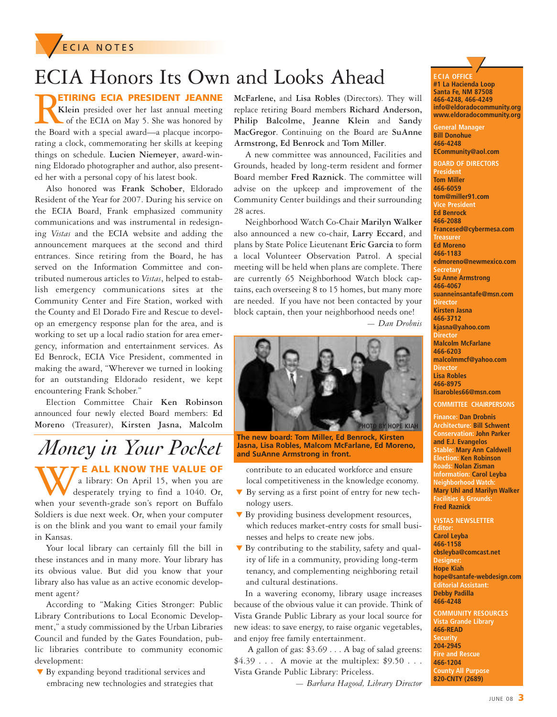

## ECIA Honors Its Own and Looks Ahead

**RESIDENT JEANNE**<br>**Klein** presided over her last annual meeting<br>of the ECIA on May 5. She was honored by<br>the Board with a special award—a placque incorpo-**Klein** presided over her last annual meeting of the ECIA on May 5. She was honored by the Board with a special award—a placque incorporating a clock, commemorating her skills at keeping things on schedule. **Lucien Niemeyer**, award-winning Eldorado photographer and author, also presented her with a personal copy of his latest book.

Also honored was **Frank Schober**, Eldorado Resident of the Year for 2007. During his service on the ECIA Board, Frank emphasized community communications and was instrumental in redesigning *Vistas* and the ECIA website and adding the announcement marquees at the second and third entrances. Since retiring from the Board, he has served on the Information Committee and contributed numerous articles to *Vistas*, helped to establish emergency communications sites at the Community Center and Fire Station, worked with the County and El Dorado Fire and Rescue to develop an emergency response plan for the area, and is working to set up a local radio station for area emergency, information and entertainment services. As Ed Benrock, ECIA Vice President, commented in making the award, "Wherever we turned in looking for an outstanding Eldorado resident, we kept encountering Frank Schober."

Election Committee Chair **Ken Robinson** announced four newly elected Board members: **Ed Moreno** (Treasurer), **Kirsten Jasna, Malcolm**

## *Money in Your Pocket*

**WE ALL KNOW THE VALUE OF** a library: On April 15, when you are desperately trying to find a 1040. Or, when your seventh-grade son's report on Buffalo a library: On April 15, when you are desperately trying to find a 1040. Or, Soldiers is due next week. Or, when your computer is on the blink and you want to email your family in Kansas.

Your local library can certainly fill the bill in these instances and in many more. Your library has its obvious value. But did you know that your library also has value as an active economic development agent?

According to "Making Cities Stronger: Public Library Contributions to Local Economic Development," a study commissioned by the Urban Libraries Council and funded by the Gates Foundation, public libraries contribute to community economic development:

**▼** By expanding beyond traditional services and embracing new technologies and strategies that **McFarlene,** and **Lisa Robles** (Directors). They will replace retiring Board members **Richard Anderson, Philip Balcolme, Jeanne Klein** and **Sandy MacGregor**. Continuing on the Board are **SuAnne Armstrong, Ed Benrock** and **Tom Miller**.

A new committee was announced, Facilities and Grounds, headed by long-term resident and former Board member **Fred Raznick**. The committee will advise on the upkeep and improvement of the Community Center buildings and their surrounding 28 acres.

Neighborhood Watch Co-Chair **Marilyn Walker** also announced a new co-chair, **Larry Eccard**, and plans by State Police Lieutenant **Eric Garcia** to form a local Volunteer Observation Patrol. A special meeting will be held when plans are complete. There are currently 65 Neighborhood Watch block captains, each overseeing 8 to 15 homes, but many more are needed. If you have not been contacted by your block captain, then your neighborhood needs one!

*— Dan Drobnis*



**The new board: Tom Miller, Ed Benrock, Kirsten Jasna, Lisa Robles, Malcom McFarlane, Ed Moreno, and SuAnne Armstrong in front.**

contribute to an educated workforce and ensure local competitiveness in the knowledge economy.

- **▼** By serving as a first point of entry for new technology users.
- By providing business development resources, which reduces market-entry costs for small businesses and helps to create new jobs.
- **▼** By contributing to the stability, safety and quality of life in a community, providing long-term tenancy, and complementing neighboring retail and cultural destinations.

In a wavering economy, library usage increases because of the obvious value it can provide. Think of Vista Grande Public Library as your local source for new ideas: to save energy, to raise organic vegetables, and enjoy free family entertainment.

A gallon of gas: \$3.69 . . . A bag of salad greens:  $$4.39...$  A movie at the multiplex:  $$9.50...$ Vista Grande Public Library: Priceless.

*— Barbara Hagood, Library Director*

**ECIA OFFIC ▼ E #1 La Hacienda Loop Santa Fe, NM 87508 466-4248, 466-4249 info@eldoradocommunity.org www.eldoradocommunity.org**

**General Manager Bill Donohue 466-4248 ECommunity@aol.com**

**BOARD OF DIRECTORS President Tom Miller 466-6059 tom@miller91.com Vice President Ed Benrock 466-2088 Francesed@cybermesa.com Treasurer Ed Moreno 466-1183 edmoreno@newmexico.com Secretary Su Anne Armstrong 466-4067 suanneinsantafe@msn.com Director Kirsten Jasna 466-3712 kjasna@yahoo.com Director Malcolm McFarlane 466-6203 malcolmmcf@yahoo.com Director Lisa Robles 466-8975 lisarobles66@msn.com COMMITTEE CHAIRPERSONS**

**Finance: Dan Drobnis Architecture: Bill Schwent Conservation: John Parker and E.J. Evangelos Stable: Mary Ann Caldwell Election: Ken Robinson Roads: Nolan Zisman Information: Carol Leyba Neighborhood Watch: Mary Uhl and Marilyn Walker Facilities & Grounds: Fred Raznick**

**VISTAS NEWSLETTER Editor: Carol Leyba 466-1158 cbsleyba@comcast.net Designe Hope Kiah hope@santafe-webdesign.com Editorial Assistant: Debby Padilla 466-4248**

**COMMUNITY RESOURCES Vista Grande Library 466-READ Security 204-2945 Fire and Rescue 466-1204 County All Purpose 820-CNTY (2689)**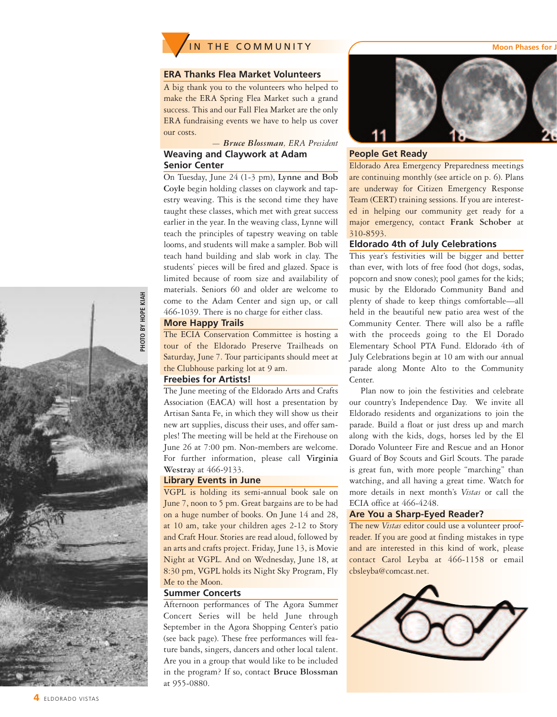

#### **ERA Thanks Flea Market Volunteers**

A big thank you to the volunteers who helped to make the ERA Spring Flea Market such a grand success. This and our Fall Flea Market are the only ERA fundraising events we have to help us cover our costs.

#### *— Bruce Blossman, ERA President* **Weaving and Claywork at Adam Senior Center**

On Tuesday, June 24 (1-3 pm), **Lynne and Bob Coyle** begin holding classes on claywork and tapestry weaving. This is the second time they have taught these classes, which met with great success earlier in the year. In the weaving class, Lynne will teach the principles of tapestry weaving on table looms, and students will make a sampler. Bob will teach hand building and slab work in clay. The students' pieces will be fired and glazed. Space is limited because of room size and availability of materials. Seniors 60 and older are welcome to come to the Adam Center and sign up, or call 466-1039. There is no charge for either class.

#### **More Happy Trails**

The ECIA Conservation Committee is hosting a tour of the Eldorado Preserve Trailheads on Saturday, June 7. Tour participants should meet at the Clubhouse parking lot at 9 am.

#### **Freebies for Artists!**

The June meeting of the Eldorado Arts and Crafts Association (EACA) will host a presentation by Artisan Santa Fe, in which they will show us their new art supplies, discuss their uses, and offer samples! The meeting will be held at the Firehouse on June 26 at 7:00 pm. Non-members are welcome. For further information, please call **Virginia Westray** at 466-9133.

#### **Library Events in June**

VGPL is holding its semi-annual book sale on June 7, noon to 5 pm. Great bargains are to be had on a huge number of books. On June 14 and 28, at 10 am, take your children ages 2-12 to Story and Craft Hour. Stories are read aloud, followed by an arts and crafts project. Friday, June 13, is Movie Night at VGPL. And on Wednesday, June 18, at 8:30 pm, VGPL holds its Night Sky Program, Fly Me to the Moon.

#### **Summer Concerts**

Afternoon performances of The Agora Summer Concert Series will be held June through September in the Agora Shopping Center's patio (see back page). These free performances will feature bands, singers, dancers and other local talent. Are you in a group that would like to be included in the program? If so, contact **Bruce Blossman** at 955-0880.



#### **People Get Ready**

Eldorado Area Emergency Preparedness meetings are continuing monthly (see article on p. 6). Plans are underway for Citizen Emergency Response Team (CERT) training sessions. If you are interested in helping our community get ready for a major emergency, contact **Frank Schober** at 310-8593.

#### **Eldorado 4th of July Celebrations**

This year's festivities will be bigger and better than ever, with lots of free food (hot dogs, sodas, popcorn and snow cones); pool games for the kids; music by the Eldorado Community Band and plenty of shade to keep things comfortable—all held in the beautiful new patio area west of the Community Center. There will also be a raffle with the proceeds going to the El Dorado Elementary School PTA Fund. Eldorado 4th of July Celebrations begin at 10 am with our annual parade along Monte Alto to the Community Center.

Plan now to join the festivities and celebrate our country's Independence Day. We invite all Eldorado residents and organizations to join the parade. Build a float or just dress up and march along with the kids, dogs, horses led by the El Dorado Volunteer Fire and Rescue and an Honor Guard of Boy Scouts and Girl Scouts. The parade is great fun, with more people "marching" than watching, and all having a great time. Watch for more details in next month's *Vistas* or call the ECIA office at 466-4248.

#### **Are You a Sharp-Eyed Reader?**

The new *Vistas* editor could use a volunteer proofreader. If you are good at finding mistakes in type and are interested in this kind of work, please contact Carol Leyba at 466-1158 or email cbsleyba@comcast.net.





#### **4** ELDORADO VISTAS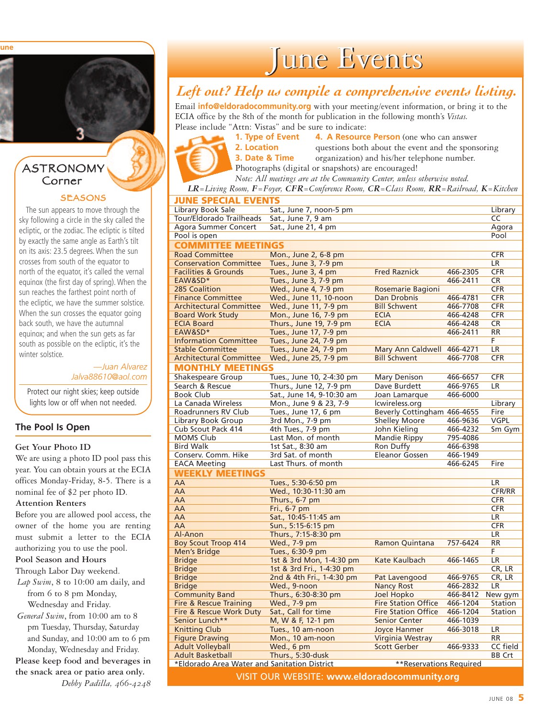**une**

#### ASTRONOMY Corner

#### **SEASONS**

The sun appears to move through the sky following a circle in the sky called the ecliptic, or the zodiac. The ecliptic is tilted by exactly the same angle as Earth's tilt on its axis: 23.5 degrees. When the sun crosses from south of the equator to north of the equator, it's called the vernal equinox (the first day of spring). When the sun reaches the farthest point north of the ecliptic, we have the summer solstice. When the sun crosses the equator going back south, we have the autumnal equinox; and when the sun gets as far south as possible on the ecliptic, it's the winter solstice.

> *—Juan Alvarez Jalva88610@aol.com*

Protect our night skies; keep outside lights low or off when not needed.

#### **The Pool Is Open**

#### **Get Your Photo ID**

We are using a photo ID pool pass this year. You can obtain yours at the ECIA offices Monday-Friday, 8-5. There is a nominal fee of \$2 per photo ID.

#### **Attention Renters**

Before you are allowed pool access, the owner of the home you are renting must submit a letter to the ECIA authorizing you to use the pool.

#### **Pool Season and Hours**

Through Labor Day weekend.

*Lap Swim*, 8 to 10:00 am daily, and from 6 to 8 pm Monday, Wednesday and Friday.

*General Swim*, from 10:00 am to 8 pm Tuesday, Thursday, Saturday and Sunday, and 10:00 am to 6 pm Monday, Wednesday and Friday. **Please keep food and beverages in**

**the snack area or patio area only.**

*Debby Padilla, 466-4248*

June Events

### *Left out? Help us compile a comprehensive events listing.*

Email **info@eldoradocommunity.org** with your meeting/event information, or bring it to the ECIA office by the 8th of the month for publication in the following month's *Vistas.* Please include "Attn: Vistas" and be sure to indicate:

**1. Type of Event 4. A Resource Person** (one who can answer **2. Location** questions both about the event and the sponsoring **3. Date & Time** organization) and his/her telephone number. Photographs (digital or snapshots) are encouraged!

*Note: All meetings are at the Community Center, unless otherwise noted.*

*LR=Living Room, F=Foyer, CFR=Conference Room, CR=Class Room, RR=Railroad, K=Kitchen*

#### **JUNE SPECIAL EVENTS**

| Library Book Sale                                   | Sat., June 7, noon-5 pm              |                                          |                      | Library            |  |  |
|-----------------------------------------------------|--------------------------------------|------------------------------------------|----------------------|--------------------|--|--|
| Tour/Eldorado Trailheads                            | Sat., June 7, 9 am                   |                                          |                      | CC<br>Agora        |  |  |
| Agora Summer Concert                                | Sat., June 21, 4 pm                  |                                          |                      |                    |  |  |
| Pool is open                                        |                                      |                                          |                      | Pool               |  |  |
| <b>COMMITTEE MEETINGS</b>                           |                                      |                                          |                      |                    |  |  |
| <b>Road Committee</b>                               | Mon., June 2, 6-8 pm                 |                                          |                      | <b>CFR</b>         |  |  |
| <b>Conservation Committee</b>                       | Tues., June 3, 7-9 pm                |                                          |                      | <b>LR</b>          |  |  |
| <b>Facilities &amp; Grounds</b>                     | Tues., June 3, 4 pm                  | <b>Fred Raznick</b>                      | 466-2305             | <b>CFR</b>         |  |  |
| EAW&SD*                                             | Tues., June 3, 7-9 pm                |                                          | 466-2411             | <b>CR</b>          |  |  |
| 285 Coalition                                       | Wed., June 4, 7-9 pm                 | Rosemarie Bagioni                        |                      | <b>CFR</b>         |  |  |
| <b>Finance Committee</b>                            | Wed., June 11, 10-noon               | Dan Drobnis                              | 466-4781             | <b>CFR</b>         |  |  |
| <b>Architectural Committee</b>                      | Wed., June 11, 7-9 pm                | <b>Bill Schwent</b>                      | 466-7708             | <b>CFR</b>         |  |  |
| <b>Board Work Study</b>                             | Mon., June 16, 7-9 pm                | <b>ECIA</b>                              | 466-4248             | <b>CFR</b>         |  |  |
| <b>ECIA Board</b>                                   | Thurs., June 19, 7-9 pm              | <b>ECIA</b>                              | 466-4248             | <b>CR</b>          |  |  |
| EAW&SD*                                             | Tues., June 17, 7-9 pm               |                                          | 466-2411             | <b>RR</b>          |  |  |
| <b>Information Committee</b>                        | Tues., June 24, 7-9 pm               |                                          |                      | F.                 |  |  |
| <b>Stable Committee</b>                             | Tues., June 24, 7-9 pm               | Mary Ann Caldwell 466-4271               |                      | <b>LR</b>          |  |  |
| <b>Architectural Committee</b>                      | Wed., June 25, 7-9 pm                | <b>Bill Schwent</b>                      | 466-7708             | <b>CFR</b>         |  |  |
| <b>MONTHLY MEETINGS</b>                             |                                      |                                          |                      |                    |  |  |
| Shakespeare Group                                   | Tues., June 10, 2-4:30 pm            | Mary Denison                             | 466-6657             | <b>CFR</b>         |  |  |
| Search & Rescue                                     | Thurs., June 12, 7-9 pm              | Dave Burdett                             | 466-9765             | LR.                |  |  |
| Book Club                                           | Sat., June 14, 9-10:30 am            | Joan Lamarque                            | 466-6000             |                    |  |  |
| La Canada Wireless                                  | Mon., June 9 & 23, 7-9               | lcwireless.org                           |                      | Library            |  |  |
| Roadrunners RV Club                                 | Tues., June 17, 6 pm                 | Beverly Cottingham 466-4655              |                      | Fire               |  |  |
| Library Book Group                                  | 3rd Mon., 7-9 pm                     | <b>Shelley Moore</b>                     | 466-9636             | <b>VGPL</b>        |  |  |
| Cub Scout Pack 414                                  | 4th Tues., 7-9 pm                    | John Kieling                             | 466-4232             | Sm Gym             |  |  |
| <b>MOMS Club</b>                                    | Last Mon. of month                   | Mandie Rippy                             | 795-4086             |                    |  |  |
| <b>Bird Walk</b>                                    | 1st Sat., 8:30 am                    | Ron Duffy                                | 466-6398             |                    |  |  |
| Conserv. Comm. Hike                                 | 3rd Sat. of month                    | Eleanor Gossen                           | 466-1949             |                    |  |  |
| <b>EACA Meeting</b>                                 | Last Thurs, of month                 |                                          | 466-6245             | Fire               |  |  |
| <b>WEEKLY MEETINGS</b>                              |                                      |                                          |                      |                    |  |  |
| AA                                                  | Tues., 5:30-6:50 pm                  |                                          |                      | <b>LR</b>          |  |  |
| AA                                                  | Wed., 10:30-11:30 am                 |                                          |                      | <b>CFR/RR</b>      |  |  |
| AA                                                  | Thurs., 6-7 pm                       |                                          |                      | <b>CFR</b>         |  |  |
| AA                                                  | Fri., 6-7 pm                         |                                          |                      | <b>CFR</b>         |  |  |
| AA                                                  | Sat., 10:45-11:45 am                 |                                          |                      | LR                 |  |  |
| AA                                                  | Sun., 5:15-6:15 pm                   |                                          |                      | <b>CFR</b>         |  |  |
| Al-Anon                                             | Thurs., 7:15-8:30 pm                 |                                          |                      | LR.                |  |  |
| <b>Boy Scout Troop 414</b>                          | Wed., 7-9 pm                         | Ramon Quintana                           | 757-6424             | <b>RR</b>          |  |  |
| <b>Men's Bridge</b>                                 | Tues., 6:30-9 pm                     |                                          |                      | F.                 |  |  |
| <b>Bridge</b>                                       | 1st & 3rd Mon, 1-4:30 pm             | Kate Kaulbach                            | 466-1465             | LR                 |  |  |
| <b>Bridge</b>                                       | 1st & 3rd Fri., 1-4:30 pm            |                                          |                      | CR, LR             |  |  |
| <b>Bridge</b><br><b>Bridge</b>                      | 2nd & 4th Fri., 1-4:30 pm            | Pat Lavengood                            | 466-9765<br>466-2832 | CR, LR<br>LR       |  |  |
|                                                     | Wed., 9-noon                         | <b>Nancy Rost</b>                        |                      |                    |  |  |
| <b>Community Band</b><br>Fire & Rescue Training     | Thurs., 6:30-8:30 pm<br>Wed., 7-9 pm | Joel Hopko<br><b>Fire Station Office</b> | 466-8412<br>466-1204 | New gym<br>Station |  |  |
|                                                     | Sat., Call for time                  | <b>Fire Station Office</b>               | 466-1204             | Station            |  |  |
| Fire & Rescue Work Duty<br>Senior Lunch**           | M, W & F, 12-1 pm                    | <b>Senior Center</b>                     | 466-1039             |                    |  |  |
| <b>Knitting Club</b>                                | Tues., 10 am-noon                    | <b>Joyce Hanmer</b>                      | 466-3018             | LR.                |  |  |
| <b>Figure Drawing</b>                               | Mon., 10 am-noon                     | Virginia Westray                         |                      | <b>RR</b>          |  |  |
| <b>Adult Volleyball</b>                             | Wed., 6 pm                           | <b>Scott Gerber</b>                      | 466-9333             | CC field           |  |  |
| <b>Adult Basketball</b>                             | Thurs., 5:30-dusk                    |                                          |                      | <b>BB Crt</b>      |  |  |
| *Eldorado Area Water and Sanitation District        |                                      | **Reservations Required                  |                      |                    |  |  |
|                                                     |                                      |                                          |                      |                    |  |  |
| <b>VISIT OUR WEBSITE: www.eldoradocommunity.org</b> |                                      |                                          |                      |                    |  |  |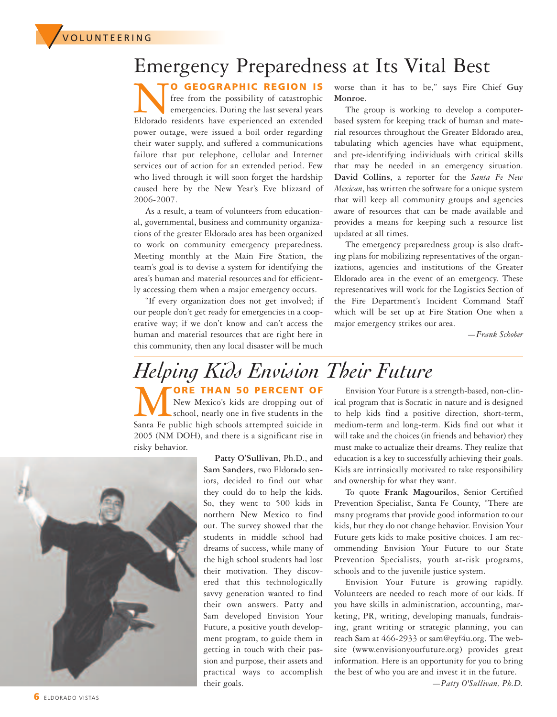**▼**<sup>V</sup> <sup>O</sup> <sup>L</sup> <sup>U</sup> <sup>N</sup> <sup>T</sup> <sup>E</sup> <sup>E</sup> <sup>R</sup> <sup>I</sup> <sup>N</sup> <sup>G</sup>

### Emergency Preparedness at Its Vital Best

**NO GEOGRAPHIC REGION IS**<br>
free from the possibility of catastrophic<br>
Eldorado residents have experienced an extended free from the possibility of catastrophic emergencies. During the last several years power outage, were issued a boil order regarding their water supply, and suffered a communications failure that put telephone, cellular and Internet services out of action for an extended period. Few who lived through it will soon forget the hardship caused here by the New Year's Eve blizzard of 2006-2007.

As a result, a team of volunteers from educational, governmental, business and community organizations of the greater Eldorado area has been organized to work on community emergency preparedness. Meeting monthly at the Main Fire Station, the team's goal is to devise a system for identifying the area's human and material resources and for efficiently accessing them when a major emergency occurs.

"If every organization does not get involved; if our people don't get ready for emergencies in a cooperative way; if we don't know and can't access the human and material resources that are right here in this community, then any local disaster will be much

worse than it has to be," says Fire Chief **Guy Monroe**.

The group is working to develop a computerbased system for keeping track of human and material resources throughout the Greater Eldorado area, tabulating which agencies have what equipment, and pre-identifying individuals with critical skills that may be needed in an emergency situation. **David Collins**, a reporter for the *Santa Fe New Mexican*, has written the software for a unique system that will keep all community groups and agencies aware of resources that can be made available and provides a means for keeping such a resource list updated at all times.

The emergency preparedness group is also drafting plans for mobilizing representatives of the organizations, agencies and institutions of the Greater Eldorado area in the event of an emergency. These representatives will work for the Logistics Section of the Fire Department's Incident Command Staff which will be set up at Fire Station One when a major emergency strikes our area.

*—Frank Schober*

## *Helping Kids Envision Their Future*

**MORE THAN 50 PERCENT OF**<br>
New Mexico's kids are dropping out of<br>
Santa Fe public high schools attempted suicide in New Mexico's kids are dropping out of school, nearly one in five students in the 2005 (NM DOH), and there is a significant rise in risky behavior.



**Patty O'Sullivan**, Ph.D., and **Sam Sanders**, two Eldorado seniors, decided to find out what they could do to help the kids. So, they went to 500 kids in northern New Mexico to find out. The survey showed that the students in middle school had dreams of success, while many of the high school students had lost their motivation. They discovered that this technologically savvy generation wanted to find their own answers. Patty and Sam developed Envision Your Future, a positive youth development program, to guide them in getting in touch with their passion and purpose, their assets and practical ways to accomplish their goals.

Envision Your Future is a strength-based, non-clinical program that is Socratic in nature and is designed to help kids find a positive direction, short-term, medium-term and long-term. Kids find out what it will take and the choices (in friends and behavior) they must make to actualize their dreams. They realize that education is a key to successfully achieving their goals. Kids are intrinsically motivated to take responsibility and ownership for what they want.

To quote **Frank Magourilos**, Senior Certified Prevention Specialist, Santa Fe County, "There are many programs that provide good information to our kids, but they do not change behavior. Envision Your Future gets kids to make positive choices. I am recommending Envision Your Future to our State Prevention Specialists, youth at-risk programs, schools and to the juvenile justice system.

Envision Your Future is growing rapidly. Volunteers are needed to reach more of our kids. If you have skills in administration, accounting, marketing, PR, writing, developing manuals, fundraising, grant writing or strategic planning, you can reach Sam at 466-2933 or sam@eyf4u.org. The website (www.envisionyourfuture.org) provides great information. Here is an opportunity for you to bring the best of who you are and invest it in the future.

*—Patty O'Sullivan, Ph.D.*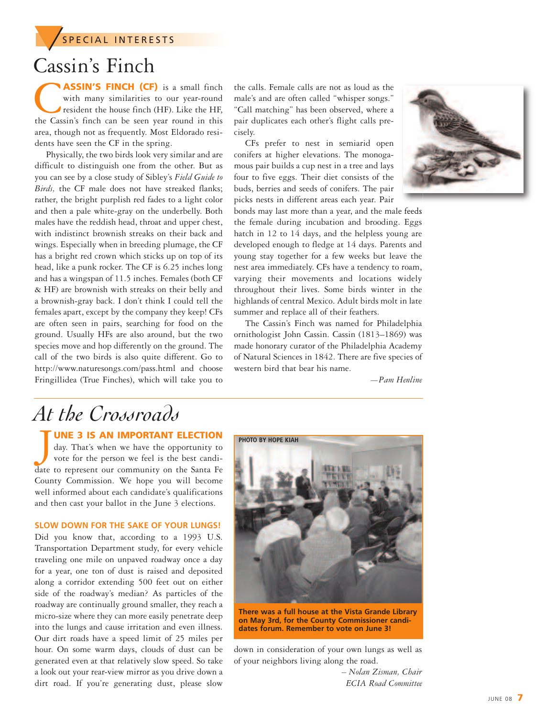**SPECIAL INTERESTS** 

## Cassin's Finch

C**ASSIN'S FINCH (CF)** is <sup>a</sup> small finch with many similarities to our year-round resident the house finch (HF). Like the HF, the Cassin's finch can be seen year round in this area, though not as frequently. Most Eldorado residents have seen the CF in the spring.

Physically, the two birds look very similar and are difficult to distinguish one from the other. But as you can see by a close study of Sibley's *Field Guide to Birds,* the CF male does not have streaked flanks; rather, the bright purplish red fades to a light color and then a pale white-gray on the underbelly. Both males have the reddish head, throat and upper chest, with indistinct brownish streaks on their back and wings. Especially when in breeding plumage, the CF has a bright red crown which sticks up on top of its head, like a punk rocker. The CF is 6.25 inches long and has a wingspan of 11.5 inches. Females (both CF & HF) are brownish with streaks on their belly and a brownish-gray back. I don't think I could tell the females apart, except by the company they keep! CFs are often seen in pairs, searching for food on the ground. Usually HFs are also around, but the two species move and hop differently on the ground. The call of the two birds is also quite different. Go to http://www.naturesongs.com/pass.html and choose Fringillidea (True Finches), which will take you to

the calls. Female calls are not as loud as the male's and are often called "whisper songs." "Call matching" has been observed, where a pair duplicates each other's flight calls precisely.

CFs prefer to nest in semiarid open conifers at higher elevations. The monogamous pair builds a cup nest in a tree and lays four to five eggs. Their diet consists of the buds, berries and seeds of conifers. The pair picks nests in different areas each year. Pair



bonds may last more than a year, and the male feeds the female during incubation and brooding. Eggs hatch in 12 to 14 days, and the helpless young are developed enough to fledge at 14 days. Parents and young stay together for a few weeks but leave the nest area immediately. CFs have a tendency to roam, varying their movements and locations widely throughout their lives. Some birds winter in the highlands of central Mexico. Adult birds molt in late summer and replace all of their feathers.

The Cassin's Finch was named for Philadelphia ornithologist John Cassin. Cassin (1813–1869) was made honorary curator of the Philadelphia Academy of Natural Sciences in 1842. There are five species of western bird that bear his name.

*—Pam Henline*

## *At the Crossroads*

**UNE 3 IS AN IMPORTANT ELECTION**

J day. That's when we have the opportunity to vote for the person we feel is the best candidate to represent our community on the Santa Fe County Commission. We hope you will become well informed about each candidate's qualifications and then cast your ballot in the June 3 elections.

#### **SLOW DOWN FOR THE SAKE OF YOUR LUNGS!**

Did you know that, according to a 1993 U.S. Transportation Department study, for every vehicle traveling one mile on unpaved roadway once a day for a year, one ton of dust is raised and deposited along a corridor extending 500 feet out on either side of the roadway's median? As particles of the roadway are continually ground smaller, they reach a micro-size where they can more easily penetrate deep into the lungs and cause irritation and even illness. Our dirt roads have a speed limit of 25 miles per hour. On some warm days, clouds of dust can be generated even at that relatively slow speed. So take a look out your rear-view mirror as you drive down a dirt road. If you're generating dust, please slow



**There was a full house at the Vista Grande Library on May 3rd, for the County Commissioner candidates forum. Remember to vote on June 3!**

down in consideration of your own lungs as well as of your neighbors living along the road.

> *– Nolan Zisman, Chair ECIA Road Committee*